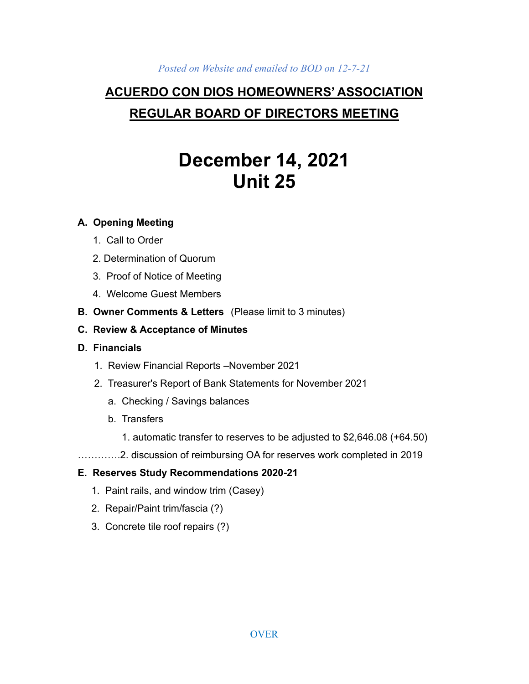#### *Posted on Website and emailed to BOD on 12-7-21*

# **ACUERDO CON DIOS HOMEOWNERS' ASSOCIATION REGULAR BOARD OF DIRECTORS MEETING**

# **December 14, 2021 Unit 25**

### **A. Opening Meeting**

- 1. Call to Order
- 2. Determination of Quorum
- 3. Proof of Notice of Meeting
- 4. Welcome Guest Members
- **B. Owner Comments & Letters** (Please limit to 3 minutes)
- **C. Review & Acceptance of Minutes**
- **D. Financials**
	- 1. Review Financial Reports –November 2021
	- 2. Treasurer's Report of Bank Statements for November 2021
		- a. Checking / Savings balances
		- b. Transfers
			- 1. automatic transfer to reserves to be adjusted to \$2,646.08 (+64.50)
- ………….2. discussion of reimbursing OA for reserves work completed in 2019

# **E. Reserves Study Recommendations 2020-21**

- 1. Paint rails, and window trim (Casey)
- 2. Repair/Paint trim/fascia (?)
- 3. Concrete tile roof repairs (?)